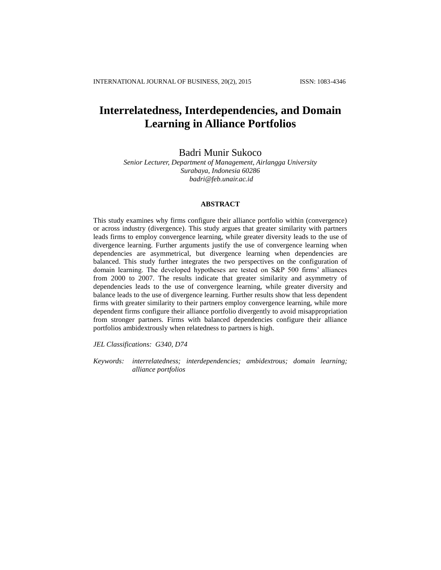# **Interrelatedness, Interdependencies, and Domain Learning in Alliance Portfolios**

Badri Munir Sukoco

*Senior Lecturer, Department of Management, Airlangga University Surabaya, Indonesia 60286 [badri@feb.unair.ac.id](mailto:badri@feb.unair.ac.id)*

## **ABSTRACT**

This study examines why firms configure their alliance portfolio within (convergence) or across industry (divergence). This study argues that greater similarity with partners leads firms to employ convergence learning, while greater diversity leads to the use of divergence learning. Further arguments justify the use of convergence learning when dependencies are asymmetrical, but divergence learning when dependencies are balanced. This study further integrates the two perspectives on the configuration of domain learning. The developed hypotheses are tested on S&P 500 firms' alliances from 2000 to 2007. The results indicate that greater similarity and asymmetry of dependencies leads to the use of convergence learning, while greater diversity and balance leads to the use of divergence learning. Further results show that less dependent firms with greater similarity to their partners employ convergence learning, while more dependent firms configure their alliance portfolio divergently to avoid misappropriation from stronger partners. Firms with balanced dependencies configure their alliance portfolios ambidextrously when relatedness to partners is high.

*JEL Classifications: G340, D74*

*Keywords: interrelatedness; interdependencies; ambidextrous; domain learning; alliance portfolios*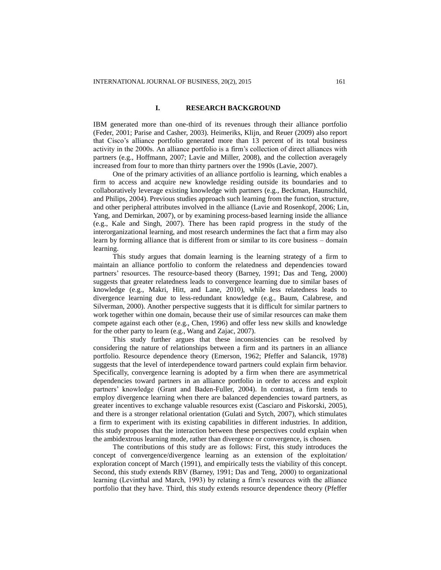# **I. RESEARCH BACKGROUND**

IBM generated more than one-third of its revenues through their alliance portfolio (Feder, 2001; Parise and Casher, 2003). Heimeriks, Klijn, and Reuer (2009) also report that Cisco's alliance portfolio generated more than 13 percent of its total business activity in the 2000s. An alliance portfolio is a firm's collection of direct alliances with partners (e.g., Hoffmann, 2007; Lavie and Miller, 2008), and the collection averagely increased from four to more than thirty partners over the 1990s (Lavie, 2007).

One of the primary activities of an alliance portfolio is learning, which enables a firm to access and acquire new knowledge residing outside its boundaries and to collaboratively leverage existing knowledge with partners (e.g., Beckman, Haunschild, and Philips, 2004). Previous studies approach such learning from the function, structure, and other peripheral attributes involved in the alliance (Lavie and Rosenkopf, 2006; Lin, Yang, and Demirkan, 2007), or by examining process-based learning inside the alliance (e.g., Kale and Singh, 2007). There has been rapid progress in the study of the interorganizational learning, and most research undermines the fact that a firm may also learn by forming alliance that is different from or similar to its core business – domain learning.

This study argues that domain learning is the learning strategy of a firm to maintain an alliance portfolio to conform the relatedness and dependencies toward partners' resources. The resource-based theory (Barney, 1991; Das and Teng, 2000) suggests that greater relatedness leads to convergence learning due to similar bases of knowledge (e.g., Makri, Hitt, and Lane, 2010), while less relatedness leads to divergence learning due to less-redundant knowledge (e.g., Baum, Calabrese, and Silverman, 2000). Another perspective suggests that it is difficult for similar partners to work together within one domain, because their use of similar resources can make them compete against each other (e.g., Chen, 1996) and offer less new skills and knowledge for the other party to learn (e.g., Wang and Zajac, 2007).

This study further argues that these inconsistencies can be resolved by considering the nature of relationships between a firm and its partners in an alliance portfolio. Resource dependence theory (Emerson, 1962; Pfeffer and Salancik, 1978) suggests that the level of interdependence toward partners could explain firm behavior. Specifically, convergence learning is adopted by a firm when there are asymmetrical dependencies toward partners in an alliance portfolio in order to access and exploit partners' knowledge (Grant and Baden-Fuller, 2004). In contrast, a firm tends to employ divergence learning when there are balanced dependencies toward partners, as greater incentives to exchange valuable resources exist (Casciaro and Piskorski, 2005), and there is a stronger relational orientation (Gulati and Sytch, 2007), which stimulates a firm to experiment with its existing capabilities in different industries. In addition, this study proposes that the interaction between these perspectives could explain when the ambidextrous learning mode, rather than divergence or convergence, is chosen.

The contributions of this study are as follows: First, this study introduces the concept of convergence/divergence learning as an extension of the exploitation/ exploration concept of March (1991), and empirically tests the viability of this concept. Second, this study extends RBV (Barney, 1991; Das and Teng, 2000) to organizational learning (Levinthal and March, 1993) by relating a firm's resources with the alliance portfolio that they have. Third, this study extends resource dependence theory (Pfeffer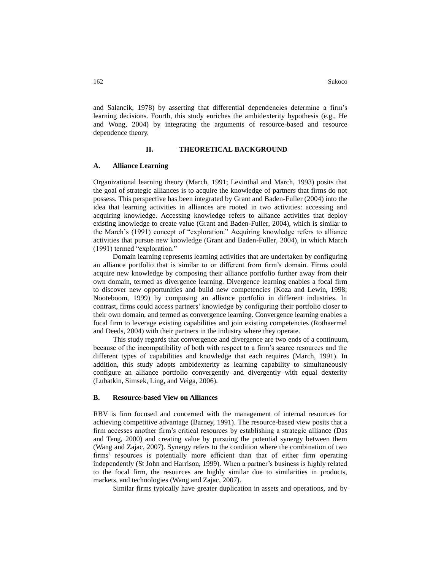and Salancik, 1978) by asserting that differential dependencies determine a firm's learning decisions. Fourth, this study enriches the ambidexterity hypothesis (e.g., He and Wong, 2004) by integrating the arguments of resource-based and resource dependence theory.

#### **II. THEORETICAL BACKGROUND**

#### **A. Alliance Learning**

Organizational learning theory (March, 1991; Levinthal and March, 1993) posits that the goal of strategic alliances is to acquire the knowledge of partners that firms do not possess. This perspective has been integrated by Grant and Baden-Fuller (2004) into the idea that learning activities in alliances are rooted in two activities: accessing and acquiring knowledge. Accessing knowledge refers to alliance activities that deploy existing knowledge to create value (Grant and Baden-Fuller, 2004), which is similar to the March's (1991) concept of "exploration." Acquiring knowledge refers to alliance activities that pursue new knowledge (Grant and Baden-Fuller, 2004), in which March (1991) termed "exploration."

Domain learning represents learning activities that are undertaken by configuring an alliance portfolio that is similar to or different from firm's domain. Firms could acquire new knowledge by composing their alliance portfolio further away from their own domain, termed as divergence learning. Divergence learning enables a focal firm to discover new opportunities and build new competencies (Koza and Lewin, 1998; Nooteboom, 1999) by composing an alliance portfolio in different industries. In contrast, firms could access partners' knowledge by configuring their portfolio closer to their own domain, and termed as convergence learning. Convergence learning enables a focal firm to leverage existing capabilities and join existing competencies (Rothaermel and Deeds, 2004) with their partners in the industry where they operate.

This study regards that convergence and divergence are two ends of a continuum, because of the incompatibility of both with respect to a firm's scarce resources and the different types of capabilities and knowledge that each requires (March, 1991). In addition, this study adopts ambidexterity as learning capability to simultaneously configure an alliance portfolio convergently and divergently with equal dexterity (Lubatkin, Simsek, Ling, and Veiga, 2006).

#### **B. Resource-based View on Alliances**

RBV is firm focused and concerned with the management of internal resources for achieving competitive advantage (Barney, 1991). The resource-based view posits that a firm accesses another firm's critical resources by establishing a strategic alliance (Das and Teng, 2000) and creating value by pursuing the potential synergy between them (Wang and Zajac, 2007). Synergy refers to the condition where the combination of two firms' resources is potentially more efficient than that of either firm operating independently (St John and Harrison, 1999). When a partner's business is highly related to the focal firm, the resources are highly similar due to similarities in products, markets, and technologies (Wang and Zajac, 2007).

Similar firms typically have greater duplication in assets and operations, and by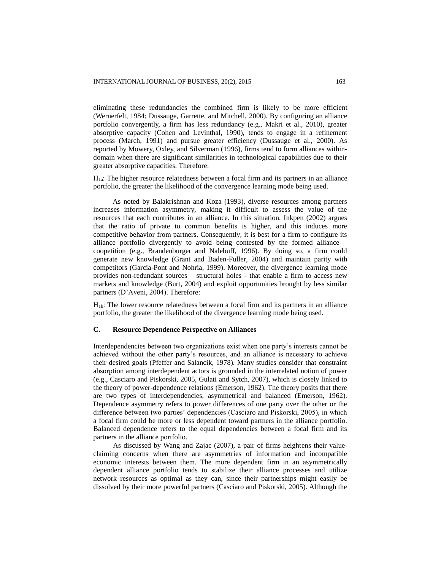eliminating these redundancies the combined firm is likely to be more efficient (Wernerfelt, 1984; Dussauge, Garrette, and Mitchell, 2000). By configuring an alliance portfolio convergently, a firm has less redundancy (e.g., Makri et al., 2010), greater absorptive capacity (Cohen and Levinthal, 1990), tends to engage in a refinement process (March, 1991) and pursue greater efficiency (Dussauge et al., 2000). As reported by Mowery, Oxley, and Silverman (1996), firms tend to form alliances withindomain when there are significant similarities in technological capabilities due to their greater absorptive capacities. Therefore:

H1a: The higher resource relatedness between a focal firm and its partners in an alliance portfolio, the greater the likelihood of the convergence learning mode being used.

As noted by Balakrishnan and Koza (1993), diverse resources among partners increases information asymmetry, making it difficult to assess the value of the resources that each contributes in an alliance. In this situation, Inkpen (2002) argues that the ratio of private to common benefits is higher, and this induces more competitive behavior from partners. Consequently, it is best for a firm to configure its alliance portfolio divergently to avoid being contested by the formed alliance – coopetition (e.g., Brandenburger and Nalebuff, 1996). By doing so, a firm could generate new knowledge (Grant and Baden-Fuller, 2004) and maintain parity with competitors (Garcia-Pont and Nohria, 1999). Moreover, the divergence learning mode provides non-redundant sources – structural holes - that enable a firm to access new markets and knowledge (Burt, 2004) and exploit opportunities brought by less similar partners (D'Aveni, 2004). Therefore:

H1b: The lower resource relatedness between a focal firm and its partners in an alliance portfolio, the greater the likelihood of the divergence learning mode being used.

# **C. Resource Dependence Perspective on Alliances**

Interdependencies between two organizations exist when one party's interests cannot be achieved without the other party's resources, and an alliance is necessary to achieve their desired goals (Pfeffer and Salancik, 1978). Many studies consider that constraint absorption among interdependent actors is grounded in the interrelated notion of power (e.g., Casciaro and Piskorski, 2005, Gulati and Sytch, 2007), which is closely linked to the theory of power-dependence relations (Emerson, 1962). The theory posits that there are two types of interdependencies, asymmetrical and balanced (Emerson, 1962). Dependence asymmetry refers to power differences of one party over the other or the difference between two parties' dependencies (Casciaro and Piskorski, 2005), in which a focal firm could be more or less dependent toward partners in the alliance portfolio. Balanced dependence refers to the equal dependencies between a focal firm and its partners in the alliance portfolio.

As discussed by Wang and Zajac (2007), a pair of firms heightens their valueclaiming concerns when there are asymmetries of information and incompatible economic interests between them. The more dependent firm in an asymmetrically dependent alliance portfolio tends to stabilize their alliance processes and utilize network resources as optimal as they can, since their partnerships might easily be dissolved by their more powerful partners (Casciaro and Piskorski, 2005). Although the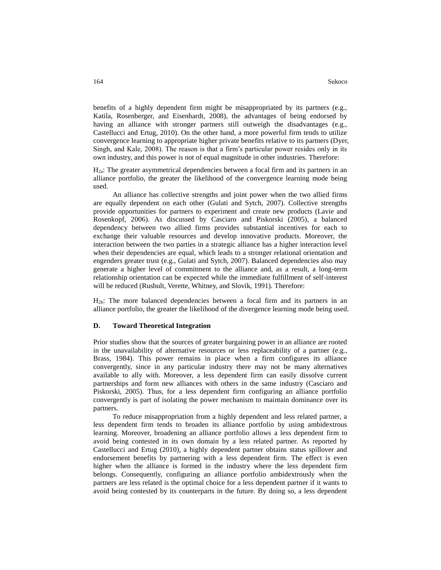benefits of a highly dependent firm might be misappropriated by its partners (e.g., Katila, Rosenberger, and Eisenhardt, 2008), the advantages of being endorsed by having an alliance with stronger partners still outweigh the disadvantages (e.g., Castellucci and Ertug, 2010). On the other hand, a more powerful firm tends to utilize convergence learning to appropriate higher private benefits relative to its partners (Dyer, Singh, and Kale, 2008). The reason is that a firm's particular power resides only in its own industry, and this power is not of equal magnitude in other industries. Therefore:

H2a: The greater asymmetrical dependencies between a focal firm and its partners in an alliance portfolio, the greater the likelihood of the convergence learning mode being used.

An alliance has collective strengths and joint power when the two allied firms are equally dependent on each other (Gulati and Sytch, 2007). Collective strengths provide opportunities for partners to experiment and create new products (Lavie and Rosenkopf, 2006). As discussed by Casciaro and Piskorski (2005), a balanced dependency between two allied firms provides substantial incentives for each to exchange their valuable resources and develop innovative products. Moreover, the interaction between the two parties in a strategic alliance has a higher interaction level when their dependencies are equal, which leads to a stronger relational orientation and engenders greater trust (e.g., Gulati and Sytch, 2007). Balanced dependencies also may generate a higher level of commitment to the alliance and, as a result, a long-term relationship orientation can be expected while the immediate fulfillment of self-interest will be reduced (Rusbult, Verette, Whitney, and Slovik, 1991). Therefore:

H2b: The more balanced dependencies between a focal firm and its partners in an alliance portfolio, the greater the likelihood of the divergence learning mode being used.

# **D. Toward Theoretical Integration**

Prior studies show that the sources of greater bargaining power in an alliance are rooted in the unavailability of alternative resources or less replaceability of a partner (e.g., Brass, 1984). This power remains in place when a firm configures its alliance convergently, since in any particular industry there may not be many alternatives available to ally with. Moreover, a less dependent firm can easily dissolve current partnerships and form new alliances with others in the same industry (Casciaro and Piskorski, 2005). Thus, for a less dependent firm configuring an alliance portfolio convergently is part of isolating the power mechanism to maintain dominance over its partners.

To reduce misappropriation from a highly dependent and less related partner, a less dependent firm tends to broaden its alliance portfolio by using ambidextrous learning. Moreover, broadening an alliance portfolio allows a less dependent firm to avoid being contested in its own domain by a less related partner. As reported by Castellucci and Ertug (2010), a highly dependent partner obtains status spillover and endorsement benefits by partnering with a less dependent firm. The effect is even higher when the alliance is formed in the industry where the less dependent firm belongs. Consequently, configuring an alliance portfolio ambidextrously when the partners are less related is the optimal choice for a less dependent partner if it wants to avoid being contested by its counterparts in the future. By doing so, a less dependent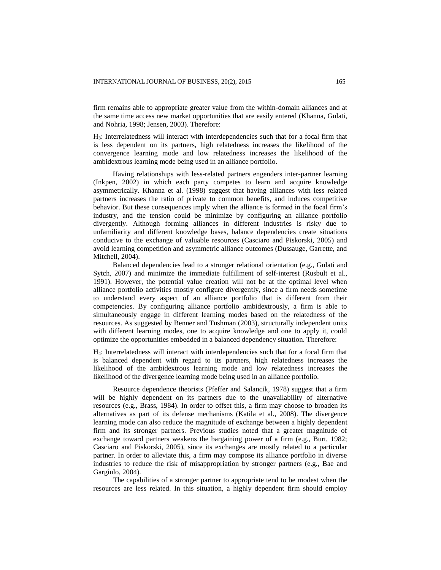firm remains able to appropriate greater value from the within-domain alliances and at the same time access new market opportunities that are easily entered (Khanna, Gulati, and Nohria, 1998; Jensen, 2003). Therefore:

H3: Interrelatedness will interact with interdependencies such that for a focal firm that is less dependent on its partners, high relatedness increases the likelihood of the convergence learning mode and low relatedness increases the likelihood of the ambidextrous learning mode being used in an alliance portfolio.

Having relationships with less-related partners engenders inter-partner learning (Inkpen, 2002) in which each party competes to learn and acquire knowledge asymmetrically. Khanna et al. (1998) suggest that having alliances with less related partners increases the ratio of private to common benefits, and induces competitive behavior. But these consequences imply when the alliance is formed in the focal firm's industry, and the tension could be minimize by configuring an alliance portfolio divergently. Although forming alliances in different industries is risky due to unfamiliarity and different knowledge bases, balance dependencies create situations conducive to the exchange of valuable resources (Casciaro and Piskorski, 2005) and avoid learning competition and asymmetric alliance outcomes (Dussauge, Garrette, and Mitchell, 2004).

Balanced dependencies lead to a stronger relational orientation (e.g., Gulati and Sytch, 2007) and minimize the immediate fulfillment of self-interest (Rusbult et al., 1991). However, the potential value creation will not be at the optimal level when alliance portfolio activities mostly configure divergently, since a firm needs sometime to understand every aspect of an alliance portfolio that is different from their competencies. By configuring alliance portfolio ambidextrously, a firm is able to simultaneously engage in different learning modes based on the relatedness of the resources. As suggested by Benner and Tushman (2003), structurally independent units with different learning modes, one to acquire knowledge and one to apply it, could optimize the opportunities embedded in a balanced dependency situation. Therefore:

H4: Interrelatedness will interact with interdependencies such that for a focal firm that is balanced dependent with regard to its partners, high relatedness increases the likelihood of the ambidextrous learning mode and low relatedness increases the likelihood of the divergence learning mode being used in an alliance portfolio.

Resource dependence theorists (Pfeffer and Salancik, 1978) suggest that a firm will be highly dependent on its partners due to the unavailability of alternative resources (e.g., Brass, 1984). In order to offset this, a firm may choose to broaden its alternatives as part of its defense mechanisms (Katila et al., 2008). The divergence learning mode can also reduce the magnitude of exchange between a highly dependent firm and its stronger partners. Previous studies noted that a greater magnitude of exchange toward partners weakens the bargaining power of a firm (e.g., Burt, 1982; Casciaro and Piskorski, 2005), since its exchanges are mostly related to a particular partner. In order to alleviate this, a firm may compose its alliance portfolio in diverse industries to reduce the risk of misappropriation by stronger partners (e.g., Bae and Gargiulo, 2004).

The capabilities of a stronger partner to appropriate tend to be modest when the resources are less related. In this situation, a highly dependent firm should employ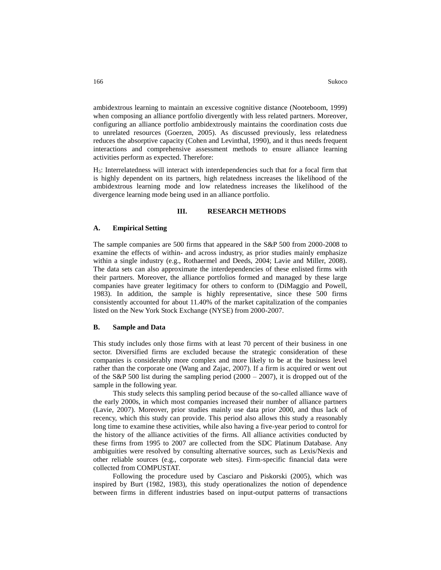ambidextrous learning to maintain an excessive cognitive distance (Nooteboom, 1999) when composing an alliance portfolio divergently with less related partners. Moreover, configuring an alliance portfolio ambidextrously maintains the coordination costs due to unrelated resources (Goerzen, 2005). As discussed previously, less relatedness reduces the absorptive capacity (Cohen and Levinthal, 1990), and it thus needs frequent interactions and comprehensive assessment methods to ensure alliance learning activities perform as expected. Therefore:

H5: Interrelatedness will interact with interdependencies such that for a focal firm that is highly dependent on its partners, high relatedness increases the likelihood of the ambidextrous learning mode and low relatedness increases the likelihood of the divergence learning mode being used in an alliance portfolio.

#### **III. RESEARCH METHODS**

## **A. Empirical Setting**

The sample companies are 500 firms that appeared in the S&P 500 from 2000-2008 to examine the effects of within- and across industry, as prior studies mainly emphasize within a single industry (e.g., Rothaermel and Deeds, 2004; Lavie and Miller, 2008). The data sets can also approximate the interdependencies of these enlisted firms with their partners. Moreover, the alliance portfolios formed and managed by these large companies have greater legitimacy for others to conform to (DiMaggio and Powell, 1983). In addition, the sample is highly representative, since these 500 firms consistently accounted for about 11.40% of the market capitalization of the companies listed on the New York Stock Exchange (NYSE) from 2000-2007.

#### **B. Sample and Data**

This study includes only those firms with at least 70 percent of their business in one sector. Diversified firms are excluded because the strategic consideration of these companies is considerably more complex and more likely to be at the business level rather than the corporate one (Wang and Zajac, 2007). If a firm is acquired or went out of the S&P 500 list during the sampling period  $(2000 - 2007)$ , it is dropped out of the sample in the following year.

This study selects this sampling period because of the so-called alliance wave of the early 2000s, in which most companies increased their number of alliance partners (Lavie, 2007). Moreover, prior studies mainly use data prior 2000, and thus lack of recency, which this study can provide. This period also allows this study a reasonably long time to examine these activities, while also having a five-year period to control for the history of the alliance activities of the firms. All alliance activities conducted by these firms from 1995 to 2007 are collected from the SDC Platinum Database. Any ambiguities were resolved by consulting alternative sources, such as Lexis/Nexis and other reliable sources (e.g., corporate web sites). Firm-specific financial data were collected from COMPUSTAT.

Following the procedure used by Casciaro and Piskorski (2005), which was inspired by Burt (1982, 1983), this study operationalizes the notion of dependence between firms in different industries based on input-output patterns of transactions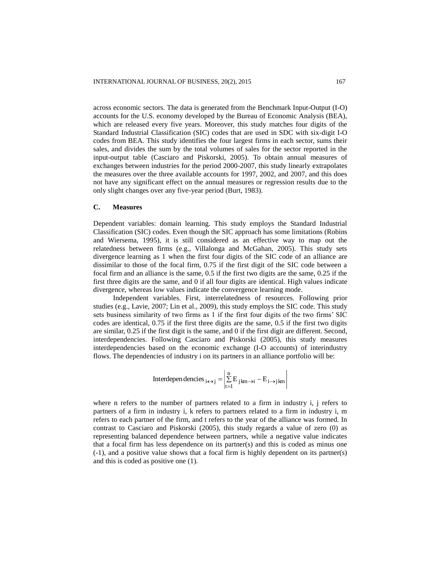across economic sectors. The data is generated from the Benchmark Input-Output (I-O) accounts for the U.S. economy developed by the Bureau of Economic Analysis (BEA), which are released every five years. Moreover, this study matches four digits of the Standard Industrial Classification (SIC) codes that are used in SDC with six-digit I-O codes from BEA. This study identifies the four largest firms in each sector, sums their sales, and divides the sum by the total volumes of sales for the sector reported in the input-output table (Casciaro and Piskorski, 2005). To obtain annual measures of exchanges between industries for the period 2000-2007, this study linearly extrapolates the measures over the three available accounts for 1997, 2002, and 2007, and this does not have any significant effect on the annual measures or regression results due to the only slight changes over any five-year period (Burt, 1983).

#### **C. Measures**

Dependent variables: domain learning. This study employs the Standard Industrial Classification (SIC) codes. Even though the SIC approach has some limitations (Robins and Wiersema, 1995), it is still considered as an effective way to map out the relatedness between firms (e.g., Villalonga and McGahan, 2005). This study sets divergence learning as 1 when the first four digits of the SIC code of an alliance are dissimilar to those of the focal firm, 0.75 if the first digit of the SIC code between a focal firm and an alliance is the same, 0.5 if the first two digits are the same, 0.25 if the first three digits are the same, and 0 if all four digits are identical. High values indicate divergence, whereas low values indicate the convergence learning mode.

Independent variables. First, interrelatedness of resources. Following prior studies (e.g., Lavie, 2007; Lin et al., 2009), this study employs the SIC code. This study sets business similarity of two firms as 1 if the first four digits of the two firms' SIC codes are identical, 0.75 if the first three digits are the same, 0.5 if the first two digits are similar, 0.25 if the first digit is the same, and 0 if the first digit are different. Second, interdependencies. Following Casciaro and Piskorski (2005), this study measures interdependencies based on the economic exchange (I-O accounts) of interindustry flows. The dependencies of industry i on its partners in an alliance portfolio will be:

Interdependencies 
$$
_{i \leftrightarrow j} = \begin{vmatrix} n \\ \sum_{t=1}^{n} E_{jkm \to i} - E_{i \to jkm} \end{vmatrix}
$$

where n refers to the number of partners related to a firm in industry i, j refers to partners of a firm in industry i, k refers to partners related to a firm in industry i, m refers to each partner of the firm, and t refers to the year of the alliance was formed. In contrast to Casciaro and Piskorski (2005), this study regards a value of zero (0) as representing balanced dependence between partners, while a negative value indicates that a focal firm has less dependence on its partner(s) and this is coded as minus one (-1), and a positive value shows that a focal firm is highly dependent on its partner(s) and this is coded as positive one (1).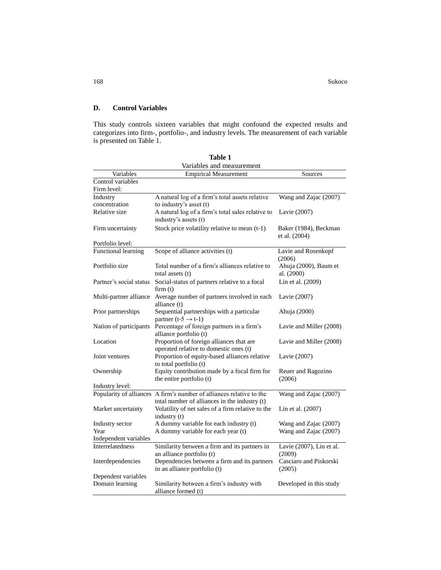168 Sukoco Sukoco Sukoco Sukoco Sukoco Sukoco Sukoco Sukoco Sukoco Sukoco Sukoco Sukoco Sukoco Sukoco Sukoco Su

# **D. Control Variables**

This study controls sixteen variables that might confound the expected results and categorizes into firm-, portfolio-, and industry levels. The measurement of each variable is presented on Table 1.

| Variables and measurement |                                                                      |                          |  |  |  |
|---------------------------|----------------------------------------------------------------------|--------------------------|--|--|--|
| Variables                 | <b>Empirical Measurement</b>                                         | Sources                  |  |  |  |
| Control variables         |                                                                      |                          |  |  |  |
| Firm level:               |                                                                      |                          |  |  |  |
| Industry                  | A natural log of a firm's total assets relative                      | Wang and Zajac (2007)    |  |  |  |
| concentration             | to industry's asset (t)                                              |                          |  |  |  |
| Relative size             | A natural log of a firm's total sales relative to                    | Lavie (2007)             |  |  |  |
|                           | industry's assets (t)                                                |                          |  |  |  |
| Firm uncertainty          | Stock price volatility relative to mean (t-1)                        | Baker (1984), Beckman    |  |  |  |
|                           |                                                                      | et al. (2004)            |  |  |  |
| Portfolio level:          |                                                                      |                          |  |  |  |
| Functional learning       | Scope of alliance activities (t)                                     | Lavie and Rosenkopf      |  |  |  |
|                           |                                                                      | (2006)                   |  |  |  |
| Portfolio size            | Total number of a firm's alliances relative to                       | Ahuja (2000), Baum et    |  |  |  |
|                           | total assets (t)                                                     | al. (2000)               |  |  |  |
| Partner's social status   | Social-status of partners relative to a focal                        | Lin et al. (2009)        |  |  |  |
|                           | firm(t)                                                              |                          |  |  |  |
| Multi-partner alliance    | Average number of partners involved in each                          | Lavie (2007)             |  |  |  |
|                           | alliance (t)                                                         |                          |  |  |  |
| Prior partnerships        | Sequential partnerships with a particular                            | Ahuja (2000)             |  |  |  |
|                           | partner $(t-5 \rightarrow t-1)$                                      |                          |  |  |  |
| Nation of participants    | Percentage of foreign partners in a firm's                           | Lavie and Miller (2008)  |  |  |  |
|                           | alliance portfolio (t)                                               |                          |  |  |  |
| Location                  | Proportion of foreign alliances that are                             | Lavie and Miller (2008)  |  |  |  |
|                           | operated relative to domestic ones (t)                               |                          |  |  |  |
| Joint ventures            | Proportion of equity-based alliances relative                        | Lavie (2007)             |  |  |  |
|                           | to total portfolio (t)                                               |                          |  |  |  |
| Ownership                 | Equity contribution made by a focal firm for                         | Reuer and Ragozino       |  |  |  |
|                           | the entire portfolio (t)                                             | (2006)                   |  |  |  |
| Industry level:           |                                                                      |                          |  |  |  |
|                           | Popularity of alliances A firm's number of alliances relative to the | Wang and Zajac (2007)    |  |  |  |
|                           | total number of alliances in the industry (t)                        |                          |  |  |  |
| Market uncertainty        | Volatility of net sales of a firm relative to the                    | Lin et al. (2007)        |  |  |  |
|                           | industry (t)                                                         |                          |  |  |  |
| Industry sector           | A dummy variable for each industry (t)                               | Wang and Zajac (2007)    |  |  |  |
| Year                      | A dummy variable for each year (t)                                   | Wang and Zajac (2007)    |  |  |  |
| Independent variables     |                                                                      |                          |  |  |  |
| <b>Interrelatedness</b>   | Similarity between a firm and its partners in                        | Lavie (2007), Lin et al. |  |  |  |
|                           | an alliance portfolio (t)                                            | (2009)                   |  |  |  |
| Interdependencies         | Dependencies between a firm and its partners                         | Casciaro and Piskorski   |  |  |  |
|                           | in an alliance portfolio (t)                                         | (2005)                   |  |  |  |
| Dependent variables       |                                                                      |                          |  |  |  |
| Domain learning           | Similarity between a firm's industry with                            | Developed in this study  |  |  |  |
|                           | alliance formed (t)                                                  |                          |  |  |  |

**Table 1**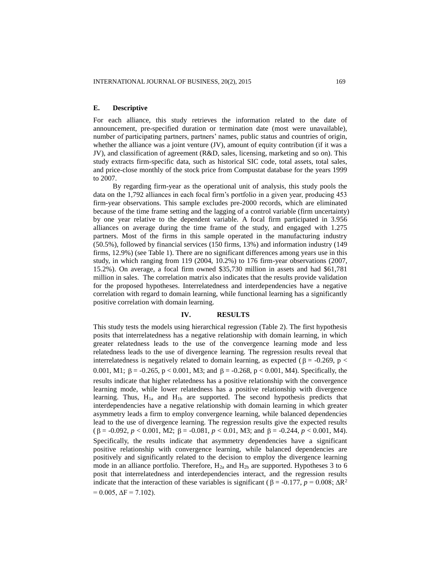# **E. Descriptive**

For each alliance, this study retrieves the information related to the date of announcement, pre-specified duration or termination date (most were unavailable), number of participating partners, partners' names, public status and countries of origin, whether the alliance was a joint venture (JV), amount of equity contribution (if it was a JV), and classification of agreement (R&D, sales, licensing, marketing and so on). This study extracts firm-specific data, such as historical SIC code, total assets, total sales, and price-close monthly of the stock price from Compustat database for the years 1999 to 2007.

By regarding firm-year as the operational unit of analysis, this study pools the data on the 1,792 alliances in each focal firm's portfolio in a given year, producing 453 firm-year observations. This sample excludes pre-2000 records, which are eliminated because of the time frame setting and the lagging of a control variable (firm uncertainty) by one year relative to the dependent variable. A focal firm participated in 3.956 alliances on average during the time frame of the study, and engaged with 1.275 partners. Most of the firms in this sample operated in the manufacturing industry (50.5%), followed by financial services (150 firms, 13%) and information industry (149 firms, 12.9%) (see Table 1). There are no significant differences among years use in this study, in which ranging from 119 (2004, 10.2%) to 176 firm-year observations (2007, 15.2%). On average, a focal firm owned \$35,730 million in assets and had \$61,781 million in sales. The correlation matrix also indicates that the results provide validation for the proposed hypotheses. Interrelatedness and interdependencies have a negative correlation with regard to domain learning, while functional learning has a significantly positive correlation with domain learning.

#### **IV. RESULTS**

This study tests the models using hierarchical regression (Table 2). The first hypothesis posits that interrelatedness has a negative relationship with domain learning, in which greater relatedness leads to the use of the convergence learning mode and less relatedness leads to the use of divergence learning. The regression results reveal that interrelatedness is negatively related to domain learning, as expected ( $\beta$  = -0.269, p < 0.001, M1;  $\beta$  = -0.265, p < 0.001, M3; and  $\beta$  = -0.268, p < 0.001, M4). Specifically, the results indicate that higher relatedness has a positive relationship with the convergence learning mode, while lower relatedness has a positive relationship with divergence learning. Thus,  $H_{1a}$  and  $H_{1b}$  are supported. The second hypothesis predicts that interdependencies have a negative relationship with domain learning in which greater asymmetry leads a firm to employ convergence learning, while balanced dependencies lead to the use of divergence learning. The regression results give the expected results  $(\beta = -0.092, p < 0.001, M2; \beta = -0.081, p < 0.01, M3; \text{ and } \beta = -0.244, p < 0.001, M4).$ Specifically, the results indicate that asymmetry dependencies have a significant positive relationship with convergence learning, while balanced dependencies are positively and significantly related to the decision to employ the divergence learning mode in an alliance portfolio. Therefore,  $H_{2a}$  and  $H_{2b}$  are supported. Hypotheses 3 to 6 posit that interrelatedness and interdependencies interact, and the regression results indicate that the interaction of these variables is significant ( $\beta$  = -0.177, *p* = 0.008;  $\Delta R^2$  $= 0.005$ ,  $\Delta F = 7.102$ ).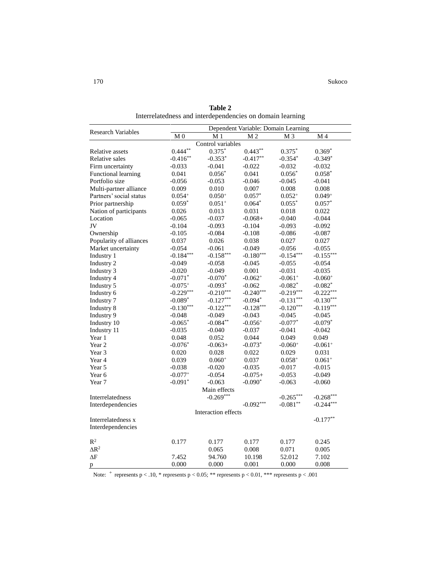|                           | Dependent Variable: Domain Learning |                     |                |                |             |  |
|---------------------------|-------------------------------------|---------------------|----------------|----------------|-------------|--|
| <b>Research Variables</b> | M <sub>0</sub>                      | M <sub>1</sub>      | M <sub>2</sub> | M 4            |             |  |
|                           |                                     | Control variables   |                | M <sub>3</sub> |             |  |
| Relative assets           | $0.444**$                           | $0.375*$            | $0.443**$      | $0.375*$       | $0.369*$    |  |
| <b>Relative sales</b>     | $-0.416**$                          | $-0.353*$           | $-0.417**$     | $-0.354*$      | $-0.349*$   |  |
| Firm uncertainty          | $-0.033$                            | $-0.041$            | $-0.022$       | $-0.032$       | $-0.032$    |  |
| Functional learning       | 0.041                               | $0.056*$            | 0.041          | $0.056*$       | $0.058*$    |  |
| Portfolio size            | $-0.056$                            | $-0.053$            | $-0.046$       | $-0.045$       | $-0.041$    |  |
| Multi-partner alliance    | 0.009                               | 0.010               | 0.007          | 0.008          | 0.008       |  |
| Partners' social status   | $0.054^{+}$                         | $0.050^{+}$         | $0.057*$       | $0.052^{+}$    | $0.049^{+}$ |  |
| Prior partnership         | $0.059*$                            | $0.051+$            | $0.064*$       | $0.055*$       | $0.057*$    |  |
| Nation of participants    | 0.026                               | 0.013               | 0.031          | 0.018          | 0.022       |  |
| Location                  | $-0.065$                            | $-0.037$            | $-0.068+$      | $-0.040$       | $-0.044$    |  |
| JV                        | $-0.104$                            | $-0.093$            | $-0.104$       | $-0.093$       | $-0.092$    |  |
| Ownership                 | $-0.105$                            | $-0.084$            | $-0.108$       | $-0.086$       | $-0.087$    |  |
| Popularity of alliances   | 0.037                               | 0.026               | 0.038          | 0.027          | 0.027       |  |
| Market uncertainty        | $-0.054$                            | $-0.061$            | $-0.049$       | $-0.056$       | $-0.055$    |  |
| Industry 1                | $-0.184***$                         | $-0.158***$         | $-0.180***$    | $-0.154***$    | $-0.155***$ |  |
| Industry 2                | $-0.049$                            | $-0.058$            | -0.045         | $-0.055$       | $-0.054$    |  |
| Industry 3                | $-0.020$                            | $-0.049$            | 0.001          | $-0.031$       | $-0.035$    |  |
| Industry 4                | $-0.071*$                           | $-0.070*$           | $-0.062+$      | $-0.061+$      | $-0.060+$   |  |
| Industry 5                | $-0.075+$                           | $-0.093*$           | $-0.062$       | $-0.082*$      | $-0.082*$   |  |
| Industry 6                | $-0.229***$                         | $-0.210***$         | $-0.240***$    | $-0.219***$    | $-0.222***$ |  |
| Industry 7                | $-0.089*$                           | $-0.127***$         | $-0.094*$      | $-0.131***$    | $-0.130***$ |  |
| Industry 8                | $-0.130***$                         | $-0.122***$         | $-0.128***$    | $-0.120***$    | $-0.119***$ |  |
| Industry 9                | $-0.048$                            | $-0.049$            | $-0.043$       | $-0.045$       | $-0.045$    |  |
| Industry 10               | $-0.065^*$                          | $-0.084***$         | $-0.056+$      | $-0.077*$      | $-0.079*$   |  |
| Industry 11               | $-0.035$                            | $-0.040$            | $-0.037$       | $-0.041$       | $-0.042$    |  |
| Year 1                    | 0.048                               | 0.052               | 0.044          | 0.049          | 0.049       |  |
| Year 2                    | $-0.076*$                           | $-0.063+$           | $-0.073*$      | $-0.060+$      | $-0.061+$   |  |
| Year 3                    | 0.020                               | 0.028               | 0.022          | 0.029          | 0.031       |  |
| Year 4                    | 0.039                               | $0.060+$            | 0.037          | $0.058^{+}$    | $0.061+$    |  |
| Year 5                    | $-0.038$                            | $-0.020$            | $-0.035$       | $-0.017$       | $-0.015$    |  |
| Year 6                    | $-0.077+$                           | $-0.054$            | $-0.075+$      | $-0.053$       | $-0.049$    |  |
| Year 7                    | $-0.091*$                           | $-0.063$            | $-0.090*$      | $-0.063$       | $-0.060$    |  |
|                           |                                     | Main effects        |                |                |             |  |
| Interrelatedness          |                                     | $-0.269***$         |                | $-0.265***$    | $-0.268***$ |  |
| Interdependencies         |                                     |                     | $-0.092***$    | $-0.081**$     | $-0.244***$ |  |
|                           |                                     | Interaction effects |                |                |             |  |
| Interrelatedness x        |                                     |                     |                |                | $-0.177**$  |  |
| Interdependencies         |                                     |                     |                |                |             |  |
| $\mathbb{R}^2$            | 0.177                               | 0.177               | 0.177          | 0.177          | 0.245       |  |
| $\Delta R^2$              |                                     | 0.065               | 0.008          | 0.071          | 0.005       |  |
| $\Delta F$                | 7.452                               | 94.760              | 10.198         | 52.012         | 7.102       |  |
| p                         | 0.000                               | 0.000               | 0.001          | 0.000          | 0.008       |  |

**Table 2** Interrelatedness and interdependencies on domain learning

Note:  $+$  represents p < .10, \* represents p < 0.05; \*\* represents p < 0.01, \*\*\* represents p < .001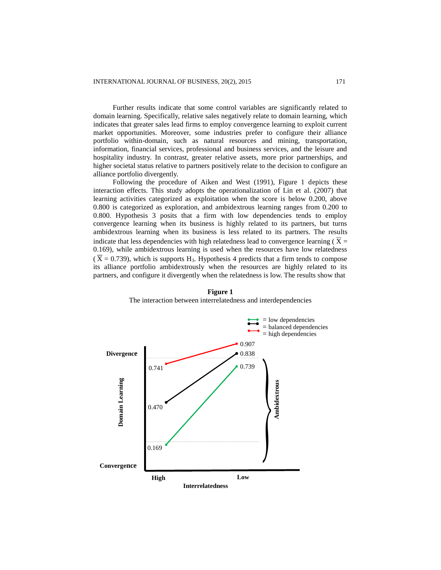Further results indicate that some control variables are significantly related to domain learning. Specifically, relative sales negatively relate to domain learning, which indicates that greater sales lead firms to employ convergence learning to exploit current market opportunities. Moreover, some industries prefer to configure their alliance portfolio within-domain, such as natural resources and mining, transportation, information, financial services, professional and business services, and the leisure and hospitality industry. In contrast, greater relative assets, more prior partnerships, and higher societal status relative to partners positively relate to the decision to configure an alliance portfolio divergently.

Following the procedure of Aiken and West (1991), Figure 1 depicts these interaction effects. This study adopts the operationalization of Lin et al. (2007) that learning activities categorized as exploitation when the score is below 0.200, above 0.800 is categorized as exploration, and ambidextrous learning ranges from 0.200 to 0.800. Hypothesis 3 posits that a firm with low dependencies tends to employ convergence learning when its business is highly related to its partners, but turns ambidextrous learning when its business is less related to its partners. The results indicate that less dependencies with high relatedness lead to convergence learning ( $X =$ 0.169), while ambidextrous learning is used when the resources have low relatedness  $(\overline{X} = 0.739)$ , which is supports H<sub>3</sub>. Hypothesis 4 predicts that a firm tends to compose its alliance portfolio ambidextrously when the resources are highly related to its partners, and configure it divergently when the relatedness is low. The results show that



**Figure 1** The interaction between interrelatedness and interdependencies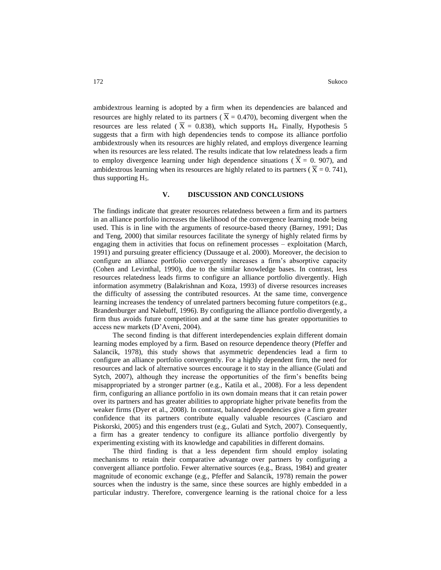ambidextrous learning is adopted by a firm when its dependencies are balanced and resources are highly related to its partners ( $\overline{X} = 0.470$ ), becoming divergent when the resources are less related ( $\overline{X}$  = 0.838), which supports H<sub>4</sub>. Finally, Hypothesis 5 suggests that a firm with high dependencies tends to compose its alliance portfolio ambidextrously when its resources are highly related, and employs divergence learning when its resources are less related. The results indicate that low relatedness leads a firm to employ divergence learning under high dependence situations ( $X = 0$ . 907), and ambidextrous learning when its resources are highly related to its partners ( $\overline{X} = 0.741$ ), thus supporting  $H<sub>5</sub>$ .

# **V. DISCUSSION AND CONCLUSIONS**

The findings indicate that greater resources relatedness between a firm and its partners in an alliance portfolio increases the likelihood of the convergence learning mode being used. This is in line with the arguments of resource-based theory (Barney, 1991; Das and Teng, 2000) that similar resources facilitate the synergy of highly related firms by engaging them in activities that focus on refinement processes – exploitation (March, 1991) and pursuing greater efficiency (Dussauge et al. 2000). Moreover, the decision to configure an alliance portfolio convergently increases a firm's absorptive capacity (Cohen and Levinthal, 1990), due to the similar knowledge bases. In contrast, less resources relatedness leads firms to configure an alliance portfolio divergently. High information asymmetry (Balakrishnan and Koza, 1993) of diverse resources increases the difficulty of assessing the contributed resources. At the same time, convergence learning increases the tendency of unrelated partners becoming future competitors (e.g., Brandenburger and Nalebuff, 1996). By configuring the alliance portfolio divergently, a firm thus avoids future competition and at the same time has greater opportunities to access new markets (D'Aveni, 2004).

The second finding is that different interdependencies explain different domain learning modes employed by a firm. Based on resource dependence theory (Pfeffer and Salancik, 1978), this study shows that asymmetric dependencies lead a firm to configure an alliance portfolio convergently. For a highly dependent firm, the need for resources and lack of alternative sources encourage it to stay in the alliance (Gulati and Sytch, 2007), although they increase the opportunities of the firm's benefits being misappropriated by a stronger partner (e.g., Katila et al., 2008). For a less dependent firm, configuring an alliance portfolio in its own domain means that it can retain power over its partners and has greater abilities to appropriate higher private benefits from the weaker firms (Dyer et al., 2008). In contrast, balanced dependencies give a firm greater confidence that its partners contribute equally valuable resources (Casciaro and Piskorski, 2005) and this engenders trust (e.g., Gulati and Sytch, 2007). Consequently, a firm has a greater tendency to configure its alliance portfolio divergently by experimenting existing with its knowledge and capabilities in different domains.

The third finding is that a less dependent firm should employ isolating mechanisms to retain their comparative advantage over partners by configuring a convergent alliance portfolio. Fewer alternative sources (e.g., Brass, 1984) and greater magnitude of economic exchange (e.g., Pfeffer and Salancik, 1978) remain the power sources when the industry is the same, since these sources are highly embedded in a particular industry. Therefore, convergence learning is the rational choice for a less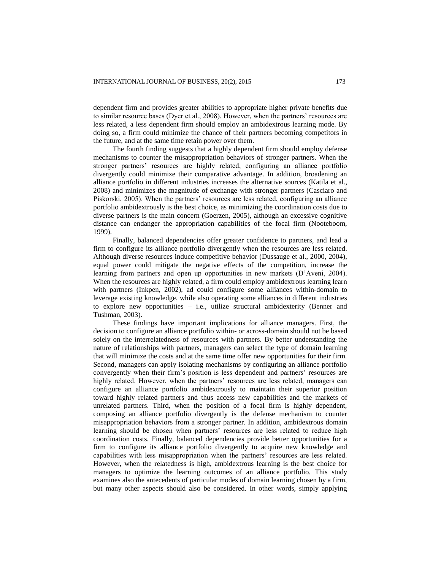dependent firm and provides greater abilities to appropriate higher private benefits due to similar resource bases (Dyer et al., 2008). However, when the partners' resources are less related, a less dependent firm should employ an ambidextrous learning mode. By doing so, a firm could minimize the chance of their partners becoming competitors in the future, and at the same time retain power over them.

The fourth finding suggests that a highly dependent firm should employ defense mechanisms to counter the misappropriation behaviors of stronger partners. When the stronger partners' resources are highly related, configuring an alliance portfolio divergently could minimize their comparative advantage. In addition, broadening an alliance portfolio in different industries increases the alternative sources (Katila et al., 2008) and minimizes the magnitude of exchange with stronger partners (Casciaro and Piskorski, 2005). When the partners' resources are less related, configuring an alliance portfolio ambidextrously is the best choice, as minimizing the coordination costs due to diverse partners is the main concern (Goerzen, 2005), although an excessive cognitive distance can endanger the appropriation capabilities of the focal firm (Nooteboom, 1999).

Finally, balanced dependencies offer greater confidence to partners, and lead a firm to configure its alliance portfolio divergently when the resources are less related. Although diverse resources induce competitive behavior (Dussauge et al., 2000, 2004), equal power could mitigate the negative effects of the competition, increase the learning from partners and open up opportunities in new markets (D'Aveni, 2004). When the resources are highly related, a firm could employ ambidextrous learning learn with partners (Inkpen, 2002), ad could configure some alliances within-domain to leverage existing knowledge, while also operating some alliances in different industries to explore new opportunities – i.e., utilize structural ambidexterity (Benner and Tushman, 2003).

These findings have important implications for alliance managers. First, the decision to configure an alliance portfolio within- or across-domain should not be based solely on the interrelatedness of resources with partners. By better understanding the nature of relationships with partners, managers can select the type of domain learning that will minimize the costs and at the same time offer new opportunities for their firm. Second, managers can apply isolating mechanisms by configuring an alliance portfolio convergently when their firm's position is less dependent and partners' resources are highly related. However, when the partners' resources are less related, managers can configure an alliance portfolio ambidextrously to maintain their superior position toward highly related partners and thus access new capabilities and the markets of unrelated partners. Third, when the position of a focal firm is highly dependent, composing an alliance portfolio divergently is the defense mechanism to counter misappropriation behaviors from a stronger partner. In addition, ambidextrous domain learning should be chosen when partners' resources are less related to reduce high coordination costs. Finally, balanced dependencies provide better opportunities for a firm to configure its alliance portfolio divergently to acquire new knowledge and capabilities with less misappropriation when the partners' resources are less related. However, when the relatedness is high, ambidextrous learning is the best choice for managers to optimize the learning outcomes of an alliance portfolio. This study examines also the antecedents of particular modes of domain learning chosen by a firm, but many other aspects should also be considered. In other words, simply applying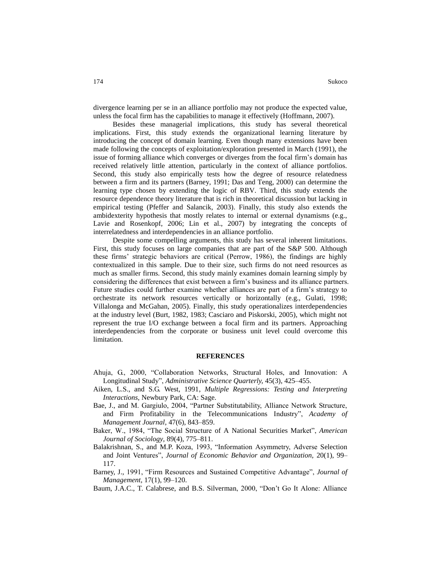divergence learning per se in an alliance portfolio may not produce the expected value, unless the focal firm has the capabilities to manage it effectively (Hoffmann, 2007).

Besides these managerial implications, this study has several theoretical implications. First, this study extends the organizational learning literature by introducing the concept of domain learning. Even though many extensions have been made following the concepts of exploitation/exploration presented in March (1991), the issue of forming alliance which converges or diverges from the focal firm's domain has received relatively little attention, particularly in the context of alliance portfolios. Second, this study also empirically tests how the degree of resource relatedness between a firm and its partners (Barney, 1991; Das and Teng, 2000) can determine the learning type chosen by extending the logic of RBV. Third, this study extends the resource dependence theory literature that is rich in theoretical discussion but lacking in empirical testing (Pfeffer and Salancik, 2003). Finally, this study also extends the ambidexterity hypothesis that mostly relates to internal or external dynamisms (e.g., Lavie and Rosenkopf, 2006; Lin et al., 2007) by integrating the concepts of interrelatedness and interdependencies in an alliance portfolio.

Despite some compelling arguments, this study has several inherent limitations. First, this study focuses on large companies that are part of the S&P 500. Although these firms' strategic behaviors are critical (Perrow, 1986), the findings are highly contextualized in this sample. Due to their size, such firms do not need resources as much as smaller firms. Second, this study mainly examines domain learning simply by considering the differences that exist between a firm's business and its alliance partners. Future studies could further examine whether alliances are part of a firm's strategy to orchestrate its network resources vertically or horizontally (e.g., Gulati, 1998; Villalonga and McGahan, 2005). Finally, this study operationalizes interdependencies at the industry level (Burt, 1982, 1983; Casciaro and Piskorski, 2005), which might not represent the true I/O exchange between a focal firm and its partners. Approaching interdependencies from the corporate or business unit level could overcome this limitation.

## **REFERENCES**

- Ahuja, G., 2000, "Collaboration Networks, Structural Holes, and Innovation: A Longitudinal Study", *Administrative Science Quarterly,* 45(3), 425–455.
- Aiken, L.S., and S.G. West, 1991, *Multiple Regressions: Testing and Interpreting Interactions,* Newbury Park, CA: Sage.
- Bae, J., and M. Gargiulo, 2004, "Partner Substitutability, Alliance Network Structure, and Firm Profitability in the Telecommunications Industry", *Academy of Management Journal,* 47(6), 843–859.
- Baker, W., 1984, "The Social Structure of A National Securities Market", *American Journal of Sociology,* 89(4), 775–811.
- Balakrishnan, S., and M.P. Koza, 1993, "Information Asymmetry, Adverse Selection and Joint Ventures", *Journal of Economic Behavior and Organization,* 20(1), 99– 117.
- Barney, J., 1991, "Firm Resources and Sustained Competitive Advantage", *Journal of Management,* 17(1), 99–120.

Baum, J.A.C., T. Calabrese, and B.S. Silverman, 2000, "Don't Go It Alone: Alliance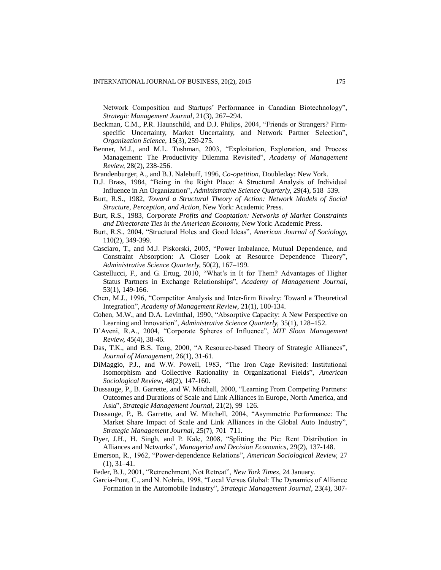Network Composition and Startups' Performance in Canadian Biotechnology", *Strategic Management Journal*, 21(3), 267–294.

- Beckman, C.M., P.R. Haunschild, and D.J. Philips, 2004, "Friends or Strangers? Firmspecific Uncertainty, Market Uncertainty, and Network Partner Selection", *Organization Science,* 15(3), 259-275.
- Benner, M.J., and M.L. Tushman, 2003, "Exploitation, Exploration, and Process Management: The Productivity Dilemma Revisited", *Academy of Management Review,* 28(2), 238-256.
- Brandenburger, A., and B.J. Nalebuff, 1996, *Co-opetition,* Doubleday: New York.
- D.J. Brass, 1984, "Being in the Right Place: A Structural Analysis of Individual Influence in An Organization", *Administrative Science Quarterly,* 29(4), 518–539.
- Burt, R.S., 1982, *Toward a Structural Theory of Action: Network Models of Social Structure, Perception, and Action*, New York: Academic Press.
- Burt, R.S., 1983, *Corporate Profits and Cooptation: Networks of Market Constraints and Directorate Ties in the American Economy,* New York: Academic Press.
- Burt, R.S., 2004, "Structural Holes and Good Ideas", *American Journal of Sociology,* 110(2), 349-399.
- Casciaro, T., and M.J. Piskorski, 2005, "Power Imbalance, Mutual Dependence, and Constraint Absorption: A Closer Look at Resource Dependence Theory", *Administrative Science Quarterly,* 50(2), 167–199.
- Castellucci, F., and G. Ertug, 2010, "What's in It for Them? Advantages of Higher Status Partners in Exchange Relationships", *Academy of Management Journal*, 53(1), 149-166.
- Chen, M.J., 1996, "Competitor Analysis and Inter-firm Rivalry: Toward a Theoretical Integration", *Academy of Management Review*, 21(1), 100-134.
- Cohen, M.W., and D.A. Levinthal, 1990, "Absorptive Capacity: A New Perspective on Learning and Innovation", *Administrative Science Quarterly,* 35(1), 128–152.
- D'Aveni, R.A., 2004, "Corporate Spheres of Influence", *MIT Sloan Management Review,* 45(4), 38-46.
- Das, T.K., and B.S. Teng, 2000, "A Resource-based Theory of Strategic Alliances", *Journal of Management,* 26(1), 31-61.
- DiMaggio, P.J., and W.W. Powell, 1983, "The Iron Cage Revisited: Institutional Isomorphism and Collective Rationality in Organizational Fields", *American Sociological Review*, 48(2), 147-160.
- Dussauge, P., B. Garrette, and W. Mitchell, 2000, "Learning From Competing Partners: Outcomes and Durations of Scale and Link Alliances in Europe, North America, and Asia", *Strategic Management Journal,* 21(2), 99–126.
- Dussauge, P., B. Garrette, and W. Mitchell, 2004, "Asymmetric Performance: The Market Share Impact of Scale and Link Alliances in the Global Auto Industry", *Strategic Management Journal,* 25(7), 701–711.
- Dyer, J.H., H. Singh, and P. Kale, 2008, "Splitting the Pie: Rent Distribution in Alliances and Networks", *Managerial and Decision Economics*, 29(2), 137-148.
- Emerson, R., 1962, "Power-dependence Relations", *American Sociological Review,* 27 (1), 31–41.
- Feder, B.J., 2001, "Retrenchment, Not Retreat", *New York Times*, 24 January.
- Garcia-Pont, C., and N. Nohria, 1998, "Local Versus Global: The Dynamics of Alliance Formation in the Automobile Industry", *Strategic Management Journal*, 23(4), 307-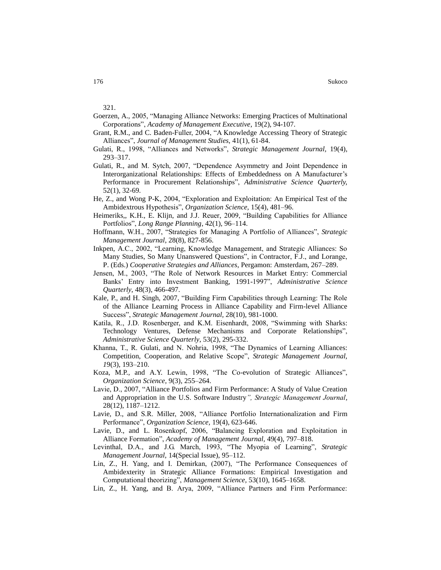321.

- Goerzen, A., 2005, "Managing Alliance Networks: Emerging Practices of Multinational Corporations", *Academy of Management Executive*, 19(2), 94-107.
- Grant, R.M., and C. Baden-Fuller, 2004, "A Knowledge Accessing Theory of Strategic Alliances", *Journal of Management Studies*, 41(1), 61-84.
- Gulati, R., 1998, "Alliances and Networks", *Strategic Management Journal,* 19(4), 293–317.
- Gulati, R., and M. Sytch, 2007, "Dependence Asymmetry and Joint Dependence in Interorganizational Relationships: Effects of Embeddedness on A Manufacturer's Performance in Procurement Relationships", *Administrative Science Quarterly,*  52(1), 32-69.
- He, Z., and Wong P-K, 2004, "Exploration and Exploitation: An Empirical Test of the Ambidextrous Hypothesis", *Organization Science,* 15(4), 481–96.
- Heimeriks,, K.H., E. Klijn, and J.J. Reuer, 2009, "Building Capabilities for Alliance Portfolios", *Long Range Planning*, 42(1), 96–114.
- Hoffmann, W.H., 2007, "Strategies for Managing A Portfolio of Alliances", *Strategic Management Journal*, 28(8), 827-856.
- Inkpen, A.C., 2002, "Learning, Knowledge Management, and Strategic Alliances: So Many Studies, So Many Unanswered Questions", in Contractor, F.J., and Lorange, P. (Eds.) *Cooperative Strategies and Alliances*, Pergamon: Amsterdam, 267–289.
- Jensen, M., 2003, "The Role of Network Resources in Market Entry: Commercial Banks' Entry into Investment Banking, 1991-1997", *Administrative Science Quarterly*, 48(3), 466-497.
- Kale, P., and H. Singh, 2007, "Building Firm Capabilities through Learning: The Role of the Alliance Learning Process in Alliance Capability and Firm-level Alliance Success", *Strategic Management Journal,* 28(10), 981-1000.
- Katila, R., J.D. Rosenberger, and K.M. Eisenhardt, 2008, "Swimming with Sharks: Technology Ventures, Defense Mechanisms and Corporate Relationships", *Administrative Science Quarterly*, 53(2), 295-332.
- Khanna, T., R. Gulati, and N. Nohria, 1998, "The Dynamics of Learning Alliances: Competition, Cooperation, and Relative Scope", *Strategic Management Journal, 1*9(3), 193–210.
- Koza, M.P., and A.Y. Lewin, 1998, "The Co-evolution of Strategic Alliances", *Organization Science,* 9(3), 255–264.
- Lavie, D., 2007, "Alliance Portfolios and Firm Performance: A Study of Value Creation and Appropriation in the U.S. Software Industry*", Strategic Management Journal,* 28(12), 1187–1212.
- Lavie, D., and S.R. Miller, 2008, "Alliance Portfolio Internationalization and Firm Performance", *Organization Science,* 19(4), 623-646.
- Lavie, D., and L. Rosenkopf, 2006, "Balancing Exploration and Exploitation in Alliance Formation", *Academy of Management Journal,* 49(4), 797–818.
- Levinthal, D.A., and J.G. March, 1993, "The Myopia of Learning", *Strategic Management Journal,* 14(Special Issue), 95–112.
- Lin, Z., H. Yang, and I. Demirkan, (2007), "The Performance Consequences of Ambidexterity in Strategic Alliance Formations: Empirical Investigation and Computational theorizing", *Management Science,* 53(10), 1645–1658.
- Lin, Z., H. Yang, and B. Arya, 2009, "Alliance Partners and Firm Performance: